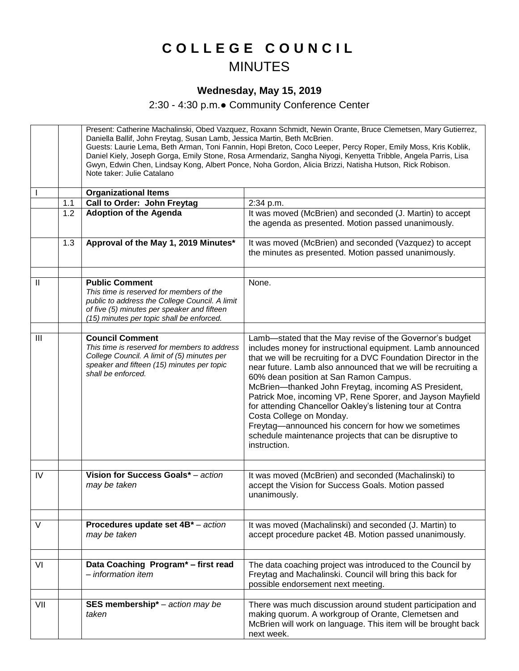## **C O L L E G E C O U N C I L** MINUTES

## **Wednesday, May 15, 2019**

2:30 - 4:30 p.m.● Community Conference Center

|     |     | Present: Catherine Machalinski, Obed Vazquez, Roxann Schmidt, Newin Orante, Bruce Clemetsen, Mary Gutierrez,<br>Daniella Ballif, John Freytag, Susan Lamb, Jessica Martin, Beth McBrien.<br>Guests: Laurie Lema, Beth Arman, Toni Fannin, Hopi Breton, Coco Leeper, Percy Roper, Emily Moss, Kris Koblik,<br>Daniel Kiely, Joseph Gorga, Emily Stone, Rosa Armendariz, Sangha Niyogi, Kenyetta Tribble, Angela Parris, Lisa<br>Gwyn, Edwin Chen, Lindsay Kong, Albert Ponce, Noha Gordon, Alicia Brizzi, Natisha Hutson, Rick Robison.<br>Note taker: Julie Catalano |                                                                                                                                                                                                                                                                                                                                                                                                                                                                                                                                                                                                                                                       |
|-----|-----|----------------------------------------------------------------------------------------------------------------------------------------------------------------------------------------------------------------------------------------------------------------------------------------------------------------------------------------------------------------------------------------------------------------------------------------------------------------------------------------------------------------------------------------------------------------------|-------------------------------------------------------------------------------------------------------------------------------------------------------------------------------------------------------------------------------------------------------------------------------------------------------------------------------------------------------------------------------------------------------------------------------------------------------------------------------------------------------------------------------------------------------------------------------------------------------------------------------------------------------|
|     |     | <b>Organizational Items</b>                                                                                                                                                                                                                                                                                                                                                                                                                                                                                                                                          |                                                                                                                                                                                                                                                                                                                                                                                                                                                                                                                                                                                                                                                       |
|     | 1.1 | Call to Order: John Freytag                                                                                                                                                                                                                                                                                                                                                                                                                                                                                                                                          | 2:34 p.m.                                                                                                                                                                                                                                                                                                                                                                                                                                                                                                                                                                                                                                             |
|     | 1.2 | <b>Adoption of the Agenda</b>                                                                                                                                                                                                                                                                                                                                                                                                                                                                                                                                        | It was moved (McBrien) and seconded (J. Martin) to accept<br>the agenda as presented. Motion passed unanimously.                                                                                                                                                                                                                                                                                                                                                                                                                                                                                                                                      |
|     | 1.3 | Approval of the May 1, 2019 Minutes*                                                                                                                                                                                                                                                                                                                                                                                                                                                                                                                                 | It was moved (McBrien) and seconded (Vazquez) to accept<br>the minutes as presented. Motion passed unanimously.                                                                                                                                                                                                                                                                                                                                                                                                                                                                                                                                       |
|     |     |                                                                                                                                                                                                                                                                                                                                                                                                                                                                                                                                                                      |                                                                                                                                                                                                                                                                                                                                                                                                                                                                                                                                                                                                                                                       |
| Ш   |     | <b>Public Comment</b><br>This time is reserved for members of the<br>public to address the College Council. A limit<br>of five (5) minutes per speaker and fifteen<br>(15) minutes per topic shall be enforced.                                                                                                                                                                                                                                                                                                                                                      | None.                                                                                                                                                                                                                                                                                                                                                                                                                                                                                                                                                                                                                                                 |
|     |     |                                                                                                                                                                                                                                                                                                                                                                                                                                                                                                                                                                      |                                                                                                                                                                                                                                                                                                                                                                                                                                                                                                                                                                                                                                                       |
| III |     | <b>Council Comment</b><br>This time is reserved for members to address<br>College Council. A limit of (5) minutes per<br>speaker and fifteen (15) minutes per topic<br>shall be enforced.                                                                                                                                                                                                                                                                                                                                                                            | Lamb-stated that the May revise of the Governor's budget<br>includes money for instructional equipment. Lamb announced<br>that we will be recruiting for a DVC Foundation Director in the<br>near future. Lamb also announced that we will be recruiting a<br>60% dean position at San Ramon Campus.<br>McBrien-thanked John Freytag, incoming AS President,<br>Patrick Moe, incoming VP, Rene Sporer, and Jayson Mayfield<br>for attending Chancellor Oakley's listening tour at Contra<br>Costa College on Monday.<br>Freytag-announced his concern for how we sometimes<br>schedule maintenance projects that can be disruptive to<br>instruction. |
| IV  |     | Vision for Success Goals* - action<br>may be taken                                                                                                                                                                                                                                                                                                                                                                                                                                                                                                                   | It was moved (McBrien) and seconded (Machalinski) to<br>accept the Vision for Success Goals. Motion passed<br>unanimously.                                                                                                                                                                                                                                                                                                                                                                                                                                                                                                                            |
|     |     |                                                                                                                                                                                                                                                                                                                                                                                                                                                                                                                                                                      |                                                                                                                                                                                                                                                                                                                                                                                                                                                                                                                                                                                                                                                       |
| V   |     | Procedures update set 4B* - action<br>may be taken                                                                                                                                                                                                                                                                                                                                                                                                                                                                                                                   | It was moved (Machalinski) and seconded (J. Martin) to<br>accept procedure packet 4B. Motion passed unanimously.                                                                                                                                                                                                                                                                                                                                                                                                                                                                                                                                      |
|     |     |                                                                                                                                                                                                                                                                                                                                                                                                                                                                                                                                                                      |                                                                                                                                                                                                                                                                                                                                                                                                                                                                                                                                                                                                                                                       |
| VI  |     | Data Coaching Program* - first read<br>- information item                                                                                                                                                                                                                                                                                                                                                                                                                                                                                                            | The data coaching project was introduced to the Council by<br>Freytag and Machalinski. Council will bring this back for<br>possible endorsement next meeting.                                                                                                                                                                                                                                                                                                                                                                                                                                                                                         |
|     |     |                                                                                                                                                                                                                                                                                                                                                                                                                                                                                                                                                                      |                                                                                                                                                                                                                                                                                                                                                                                                                                                                                                                                                                                                                                                       |
| VII |     | SES membership* $-$ action may be<br>taken                                                                                                                                                                                                                                                                                                                                                                                                                                                                                                                           | There was much discussion around student participation and<br>making quorum. A workgroup of Orante, Clemetsen and<br>McBrien will work on language. This item will be brought back<br>next week.                                                                                                                                                                                                                                                                                                                                                                                                                                                      |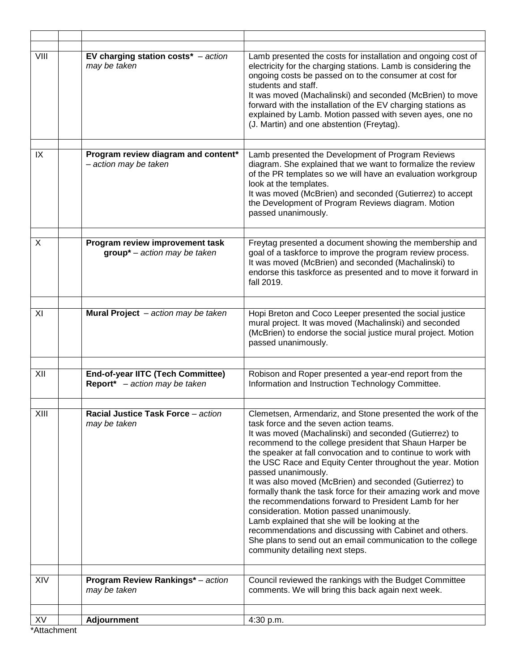| VIII         | EV charging station $costs^*$ – action<br>may be taken            | Lamb presented the costs for installation and ongoing cost of<br>electricity for the charging stations. Lamb is considering the<br>ongoing costs be passed on to the consumer at cost for<br>students and staff.<br>It was moved (Machalinski) and seconded (McBrien) to move<br>forward with the installation of the EV charging stations as<br>explained by Lamb. Motion passed with seven ayes, one no<br>(J. Martin) and one abstention (Freytag).                                                                                                                                                                                                                                                                                                                                                                          |
|--------------|-------------------------------------------------------------------|---------------------------------------------------------------------------------------------------------------------------------------------------------------------------------------------------------------------------------------------------------------------------------------------------------------------------------------------------------------------------------------------------------------------------------------------------------------------------------------------------------------------------------------------------------------------------------------------------------------------------------------------------------------------------------------------------------------------------------------------------------------------------------------------------------------------------------|
|              |                                                                   |                                                                                                                                                                                                                                                                                                                                                                                                                                                                                                                                                                                                                                                                                                                                                                                                                                 |
| IX           | Program review diagram and content*<br>- action may be taken      | Lamb presented the Development of Program Reviews<br>diagram. She explained that we want to formalize the review<br>of the PR templates so we will have an evaluation workgroup<br>look at the templates.<br>It was moved (McBrien) and seconded (Gutierrez) to accept<br>the Development of Program Reviews diagram. Motion<br>passed unanimously.                                                                                                                                                                                                                                                                                                                                                                                                                                                                             |
|              |                                                                   |                                                                                                                                                                                                                                                                                                                                                                                                                                                                                                                                                                                                                                                                                                                                                                                                                                 |
| $\mathsf{X}$ | Program review improvement task<br>$group* – action may be taken$ | Freytag presented a document showing the membership and<br>goal of a taskforce to improve the program review process.<br>It was moved (McBrien) and seconded (Machalinski) to<br>endorse this taskforce as presented and to move it forward in<br>fall 2019.                                                                                                                                                                                                                                                                                                                                                                                                                                                                                                                                                                    |
|              |                                                                   |                                                                                                                                                                                                                                                                                                                                                                                                                                                                                                                                                                                                                                                                                                                                                                                                                                 |
| XI           | Mural Project - action may be taken                               | Hopi Breton and Coco Leeper presented the social justice<br>mural project. It was moved (Machalinski) and seconded<br>(McBrien) to endorse the social justice mural project. Motion<br>passed unanimously.                                                                                                                                                                                                                                                                                                                                                                                                                                                                                                                                                                                                                      |
| XII          | <b>End-of-year IITC (Tech Committee)</b>                          |                                                                                                                                                                                                                                                                                                                                                                                                                                                                                                                                                                                                                                                                                                                                                                                                                                 |
|              | <b>Report</b> * $-$ action may be taken                           | Robison and Roper presented a year-end report from the<br>Information and Instruction Technology Committee.                                                                                                                                                                                                                                                                                                                                                                                                                                                                                                                                                                                                                                                                                                                     |
| XIII         | Racial Justice Task Force – action<br>may be taken                | Clemetsen, Armendariz, and Stone presented the work of the<br>task force and the seven action teams.<br>It was moved (Machalinski) and seconded (Gutierrez) to<br>recommend to the college president that Shaun Harper be<br>the speaker at fall convocation and to continue to work with<br>the USC Race and Equity Center throughout the year. Motion<br>passed unanimously.<br>It was also moved (McBrien) and seconded (Gutierrez) to<br>formally thank the task force for their amazing work and move<br>the recommendations forward to President Lamb for her<br>consideration. Motion passed unanimously.<br>Lamb explained that she will be looking at the<br>recommendations and discussing with Cabinet and others.<br>She plans to send out an email communication to the college<br>community detailing next steps. |
|              |                                                                   |                                                                                                                                                                                                                                                                                                                                                                                                                                                                                                                                                                                                                                                                                                                                                                                                                                 |
| XIV          | <b>Program Review Rankings*</b> - action<br>may be taken          | Council reviewed the rankings with the Budget Committee<br>comments. We will bring this back again next week.                                                                                                                                                                                                                                                                                                                                                                                                                                                                                                                                                                                                                                                                                                                   |
| XV           | <b>Adjournment</b>                                                | 4:30 p.m.                                                                                                                                                                                                                                                                                                                                                                                                                                                                                                                                                                                                                                                                                                                                                                                                                       |
| *Attachment  |                                                                   |                                                                                                                                                                                                                                                                                                                                                                                                                                                                                                                                                                                                                                                                                                                                                                                                                                 |